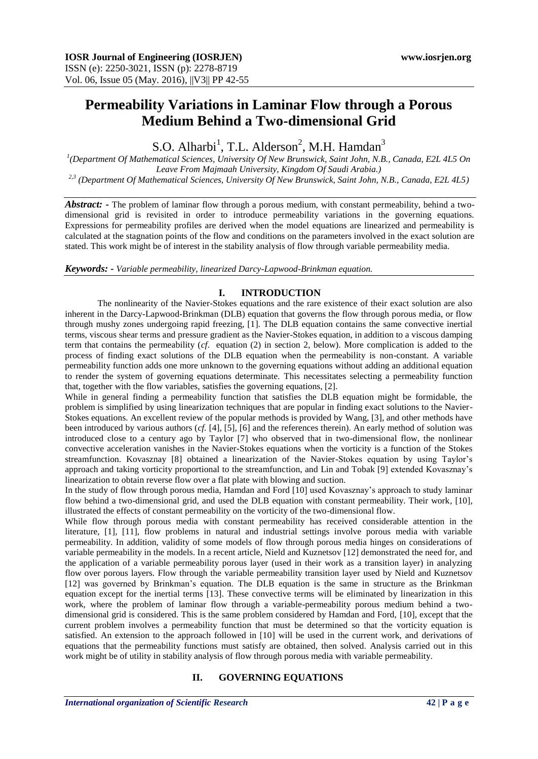# **Permeability Variations in Laminar Flow through a Porous Medium Behind a Two-dimensional Grid**

S.O. Alharbi<sup>1</sup>, T.L. Alderson<sup>2</sup>, M.H. Hamdan<sup>3</sup>

*1 (Department Of Mathematical Sciences, University Of New Brunswick, Saint John, N.B., Canada, E2L 4L5 On Leave From Majmaah University, Kingdom Of Saudi Arabia.) 2,3 (Department Of Mathematical Sciences, University Of New Brunswick, Saint John, N.B., Canada, E2L 4L5)*

*Abstract:* **-** The problem of laminar flow through a porous medium, with constant permeability, behind a twodimensional grid is revisited in order to introduce permeability variations in the governing equations. Expressions for permeability profiles are derived when the model equations are linearized and permeability is calculated at the stagnation points of the flow and conditions on the parameters involved in the exact solution are stated. This work might be of interest in the stability analysis of flow through variable permeability media.

*Keywords: - Variable permeability, linearized Darcy-Lapwood-Brinkman equation.*

## **I. INTRODUCTION**

The nonlinearity of the Navier-Stokes equations and the rare existence of their exact solution are also inherent in the Darcy-Lapwood-Brinkman (DLB) equation that governs the flow through porous media, or flow through mushy zones undergoing rapid freezing, [1]. The DLB equation contains the same convective inertial terms, viscous shear terms and pressure gradient as the Navier-Stokes equation, in addition to a viscous damping term that contains the permeability (*cf*. equation (2) in section 2, below). More complication is added to the process of finding exact solutions of the DLB equation when the permeability is non-constant. A variable permeability function adds one more unknown to the governing equations without adding an additional equation to render the system of governing equations determinate. This necessitates selecting a permeability function that, together with the flow variables, satisfies the governing equations, [2].

While in general finding a permeability function that satisfies the DLB equation might be formidable, the problem is simplified by using linearization techniques that are popular in finding exact solutions to the Navier-Stokes equations. An excellent review of the popular methods is provided by Wang, [3], and other methods have been introduced by various authors (*cf.* [4], [5], [6] and the references therein). An early method of solution was introduced close to a century ago by Taylor [7] who observed that in two-dimensional flow, the nonlinear convective acceleration vanishes in the Navier-Stokes equations when the vorticity is a function of the Stokes streamfunction. Kovasznay [8] obtained a linearization of the Navier-Stokes equation by using Taylor's approach and taking vorticity proportional to the streamfunction, and Lin and Tobak [9] extended Kovasznay's linearization to obtain reverse flow over a flat plate with blowing and suction.

In the study of flow through porous media, Hamdan and Ford [10] used Kovasznay's approach to study laminar flow behind a two-dimensional grid, and used the DLB equation with constant permeability. Their work, [10], illustrated the effects of constant permeability on the vorticity of the two-dimensional flow.

While flow through porous media with constant permeability has received considerable attention in the literature, [1], [11], flow problems in natural and industrial settings involve porous media with variable permeability. In addition, validity of some models of flow through porous media hinges on considerations of variable permeability in the models. In a recent article, Nield and Kuznetsov [12] demonstrated the need for, and the application of a variable permeability porous layer (used in their work as a transition layer) in analyzing flow over porous layers. Flow through the variable permeability transition layer used by Nield and Kuznetsov [12] was governed by Brinkman's equation. The DLB equation is the same in structure as the Brinkman equation except for the inertial terms [13]. These convective terms will be eliminated by linearization in this work, where the problem of laminar flow through a variable-permeability porous medium behind a twodimensional grid is considered. This is the same problem considered by Hamdan and Ford, [10], except that the current problem involves a permeability function that must be determined so that the vorticity equation is satisfied. An extension to the approach followed in [10] will be used in the current work, and derivations of equations that the permeability functions must satisfy are obtained, then solved. Analysis carried out in this work might be of utility in stability analysis of flow through porous media with variable permeability.

## **II. GOVERNING EQUATIONS**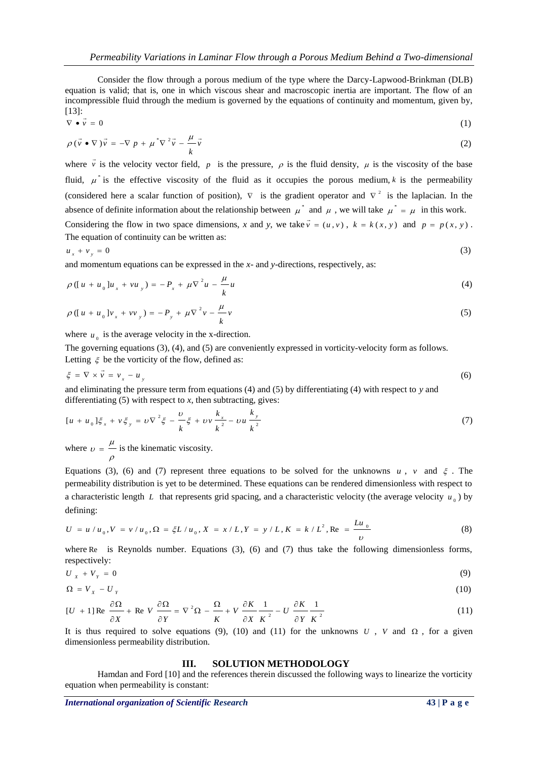Consider the flow through a porous medium of the type where the Darcy-Lapwood-Brinkman (DLB) equation is valid; that is, one in which viscous shear and macroscopic inertia are important. The flow of an incompressible fluid through the medium is governed by the equations of continuity and momentum, given by,  $\left[ \frac{13}{2} \right]$ :

$$
\nabla \bullet \vec{v} = 0 \tag{1}
$$

$$
\rho(\vec{v} \bullet \nabla)\vec{v} = -\nabla p + \mu^* \nabla^2 \vec{v} - \frac{\mu}{k} \vec{v}
$$
 (2)

where  $\vec{v}$  is the velocity vector field,  $\vec{p}$  is the pressure,  $\vec{\rho}$  is the fluid density,  $\mu$  is the viscosity of the base fluid,  $\mu^*$  is the effective viscosity of the fluid as it occupies the porous medium, k is the permeability (considered here a scalar function of position),  $\nabla$  is the gradient operator and  $\nabla^2$  is the laplacian. In the absence of definite information about the relationship between  $\mu^*$  and  $\mu$ , we will take  $\mu^* = \mu$  in this work. Considering the flow in two space dimensions, *x* and *y*, we take  $\vec{v} = (u, v)$ ,  $k = k(x, y)$  and  $p = p(x, y)$ .

The equation of continuity can be written as:

$$
u_x + v_y = 0 \tag{3}
$$

and momentum equations can be expressed in the *x*- and *y*-directions, respectively, as:

$$
\rho([u+u_0]u_x + vu_y) = -P_x + \mu \nabla^2 u - \frac{\mu}{k} u \tag{4}
$$

$$
\rho \left( [u + u_0] v_x + v v_y \right) = -P_y + \mu \nabla^2 v - \frac{\mu}{k} v \tag{5}
$$

where  $u_0$  is the average velocity in the x-direction.

The governing equations (3), (4), and (5) are conveniently expressed in vorticity-velocity form as follows. Letting  $\xi$  be the vorticity of the flow, defined as:

$$
\xi = \nabla \times \vec{v} = v_x - u_y \tag{6}
$$

and eliminating the pressure term from equations (4) and (5) by differentiating (4) with respect to *y* and differentiating  $(5)$  with respect to *x*, then subtracting, gives:

$$
[u + u_0] \xi_x + v \xi_y = v \nabla^2 \xi - \frac{v}{k} \xi + v v \frac{k_x}{k^2} - v u \frac{k_y}{k^2}
$$
 (7)

where  $v = \frac{\mu}{\sigma}$  is the kinematic viscosity.  $\rho$ 

Equations (3), (6) and (7) represent three equations to be solved for the unknowns  $u$ ,  $v$  and  $\xi$ . The permeability distribution is yet to be determined. These equations can be rendered dimensionless with respect to a characteristic length L that represents grid spacing, and a characteristic velocity (the average velocity  $u_0$ ) by defining:

$$
U = u/u_0, V = v/u_0, \Omega = \xi L/u_0, X = x/L, Y = y/L, K = k/L^2, \text{Re} = \frac{Lu_0}{v}
$$
 (8)

where Re is Reynolds number. Equations (3), (6) and (7) thus take the following dimensionless forms, respectively:

$$
U_x + V_y = 0 \tag{9}
$$

$$
\Omega = V_x - U_y \tag{10}
$$

$$
[U + 1] \operatorname{Re} \frac{\partial \Omega}{\partial X} + \operatorname{Re} V \frac{\partial \Omega}{\partial Y} = \nabla^2 \Omega - \frac{\Omega}{K} + V \frac{\partial K}{\partial X} \frac{1}{K^2} - U \frac{\partial K}{\partial Y} \frac{1}{K^2}
$$
(11)

It is thus required to solve equations (9), (10) and (11) for the unknowns  $U$ ,  $V$  and  $\Omega$ , for a given dimensionless permeability distribution.

#### **III. SOLUTION METHODOLOGY**

Hamdan and Ford [10] and the references therein discussed the following ways to linearize the vorticity equation when permeability is constant:

*International organization of Scientific Research* 43 | P a g e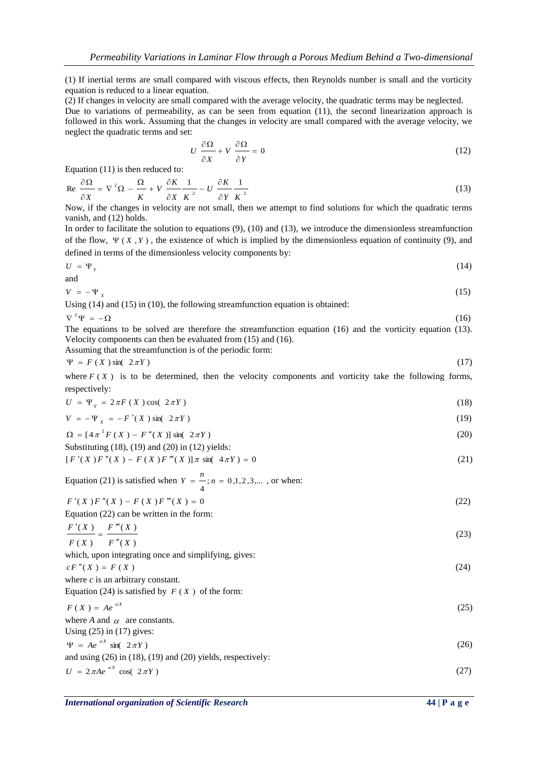(1) If inertial terms are small compared with viscous effects, then Reynolds number is small and the vorticity equation is reduced to a linear equation.

(2) If changes in velocity are small compared with the average velocity, the quadratic terms may be neglected. Due to variations of permeability, as can be seen from equation (11), the second linearization approach is followed in this work. Assuming that the changes in velocity are small compared with the average velocity, we neglect the quadratic terms and set:

$$
U\frac{\partial\Omega}{\partial X} + V\frac{\partial\Omega}{\partial Y} = 0\tag{12}
$$

Equation (11) is then reduced to:

$$
\operatorname{Re}\,\frac{\partial\Omega}{\partial X} = \nabla^2\Omega - \frac{\Omega}{K} + V\,\frac{\partial K}{\partial X}\frac{1}{K^2} - U\,\frac{\partial K}{\partial Y}\frac{1}{K^2}
$$
\n<sup>(13)</sup>

Now, if the changes in velocity are not small, then we attempt to find solutions for which the quadratic terms vanish, and (12) holds.

In order to facilitate the solution to equations (9), (10) and (13), we introduce the dimensionless streamfunction of the flow,  $\Psi(X, Y)$ , the existence of which is implied by the dimensionless equation of continuity (9), and defined in terms of the dimensionless velocity components by:

$$
U = \Psi_{Y} \tag{14}
$$

$$
V = -\Psi_x \tag{15}
$$

Using (14) and (15) in (10), the following streamfunction equation is obtained:

$$
\nabla^2\Psi = -\Omega
$$

and

The equations to be solved are therefore the streamfunction equation (16) and the vorticity equation (13). Velocity components can then be evaluated from (15) and (16).

(16)

Assuming that the streamfunction is of the periodic form:

$$
\Psi = F(X) \sin(\ 2\pi Y) \tag{17}
$$

where  $F(X)$  is to be determined, then the velocity components and vorticity take the following forms, respectively:

$$
U = \Psi_{Y} = 2\pi F(X) \cos(2\pi Y) \tag{18}
$$

$$
V = -\Psi_{X} = -F'(X)\sin(2\pi Y) \tag{19}
$$

$$
\Omega = \left[4\pi^2 F(X) - F''(X)\right] \sin(2\pi Y) \tag{20}
$$

Substituting (18), (19) and (20) in (12) yields:

$$
[F'(X)F''(X) - F(X)F'''(X)]\pi \sin(4\pi Y) = 0
$$
\n(21)

Equation (21) is satisfied when  $Y = \ddot{ } \cdot ; n = 0,1,2,3,...$ 4  $Y = \frac{n}{n}$ ;  $n = 0, 1, 2, 3, ...$ , or when:

| $F'(X) F''(X) - F(X) F'''(X) = 0$                               | (22) |
|-----------------------------------------------------------------|------|
| $\mathbf{r}$ and $\mathbf{r}$ and $\mathbf{r}$ and $\mathbf{r}$ |      |

Equation (22) can be written in the form:

$$
\frac{F'(X)}{F(X)} = \frac{F'''(X)}{F''(X)}\tag{23}
$$

which, upon integrating once and simplifying, gives:

$$
cF''(X) = F(X)
$$
  
where *c* is an arbitrary constant. (24)

Equation (24) is satisfied by  $F(X)$  of the form:

$$
F(X) = Ae^{ax}
$$
\n(25)  
\nwhere A and  $\alpha$  are constants.  
\nUsing (25) in (17) gives:  
\n
$$
\Psi = Ae^{ax} \sin(2\pi Y)
$$
\nand using (26) in (18), (19) and (20) yields, respectively:  
\n
$$
U = 2\pi Ae^{ax} \cos(2\pi Y)
$$
\n(27)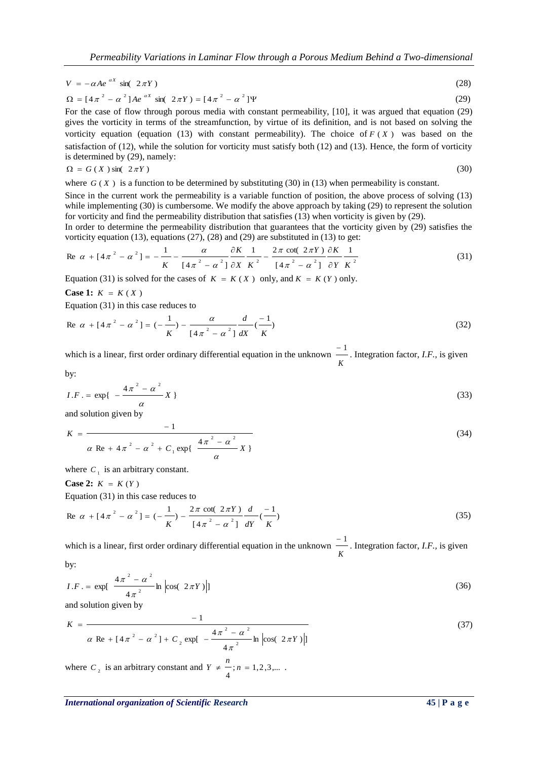$$
V = -\alpha A e^{-\alpha X} \sin(2\pi Y) \tag{28}
$$

$$
\Omega = [4\pi^2 - \alpha^2] A e^{\alpha X} \sin(\ 2\pi Y) = [4\pi^2 - \alpha^2] \Psi
$$
 (29)

For the case of flow through porous media with constant permeability, [10], it was argued that equation (29) gives the vorticity in terms of the streamfunction, by virtue of its definition, and is not based on solving the vorticity equation (equation  $(13)$  with constant permeability). The choice of  $F(X)$  was based on the satisfaction of (12), while the solution for vorticity must satisfy both (12) and (13). Hence, the form of vorticity is determined by (29), namely:

$$
\Omega = G(X) \sin(2\pi Y) \tag{30}
$$

where  $G(X)$  is a function to be determined by substituting (30) in (13) when permeability is constant.

Since in the current work the permeability is a variable function of position, the above process of solving (13) while implementing (30) is cumbersome. We modify the above approach by taking (29) to represent the solution for vorticity and find the permeability distribution that satisfies (13) when vorticity is given by (29).

In order to determine the permeability distribution that guarantees that the vorticity given by (29) satisfies the vorticity equation (13), equations  $(27)$ ,  $(28)$  and  $(29)$  are substituted in  $(13)$  to get:

$$
\text{Re } \alpha + [4\pi^2 - \alpha^2] = -\frac{1}{K} - \frac{\alpha}{[4\pi^2 - \alpha^2]} \frac{\partial K}{\partial X} \frac{1}{K^2} - \frac{2\pi \cot(2\pi Y)}{[4\pi^2 - \alpha^2]} \frac{\partial K}{\partial Y} \frac{1}{K^2} \tag{31}
$$

Equation (31) is solved for the cases of  $K = K(X)$  only, and  $K = K(Y)$  only.

**Case 1:**  $K = K(X)$ 

Equation (31) in this case reduces to

Re 
$$
\alpha + [4\pi^2 - \alpha^2] = (-\frac{1}{K}) - \frac{\alpha}{[4\pi^2 - \alpha^2]} \frac{d}{dX} (\frac{-1}{K})
$$
 (32)

which is a linear, first order ordinary differential equation in the unknown *K* <sup>-1</sup> Integration factor, *I.F.*, is given

by:

$$
I.F. = \exp\left\{-\frac{4\pi^2 - \alpha^2}{\alpha}X\right\}
$$
\n(33)

and solution given by

$$
K = \frac{-1}{\alpha \text{ Re} + 4\pi^2 - \alpha^2 + C_1 \exp\left\{-\frac{4\pi^2 - \alpha^2}{\alpha}X\right\}}
$$
(34)

where  $C_1$  is an arbitrary constant.

**Case 2:**  $K = K(Y)$ 

Equation (31) in this case reduces to

Re 
$$
\alpha + [4\pi^2 - \alpha^2] = (-\frac{1}{K}) - \frac{2\pi \cot(2\pi Y)}{[4\pi^2 - \alpha^2]} \frac{d}{dY} (\frac{-1}{K})
$$
 (35)

which is a linear, first order ordinary differential equation in the unknown *K* <sup>-1</sup> Integration factor, *I.F.*, is given

by:

$$
I.F. = \exp\left[\frac{4\pi^2 - \alpha^2}{4\pi^2} \ln \left| \cos(\left(2\pi Y\right) \right|\right]
$$
\n(36)

and solution given by

$$
K = \frac{-1}{\alpha \text{ Re} + [4\pi^2 - \alpha^2] + C_2 \exp[-\frac{4\pi^2 - \alpha^2}{4\pi^2} \ln \left| \cos(\frac{2\pi Y}) \right|]}
$$
(37)

where  $C_2$  is an arbitrary constant and  $Y \neq -; n = 1, 2, 3, ...$ 4  $Y \neq \frac{n}{n}$ ;  $n = 1, 2, 3, ...$ 

*International organization of Scientific Research* **45 | P a g e**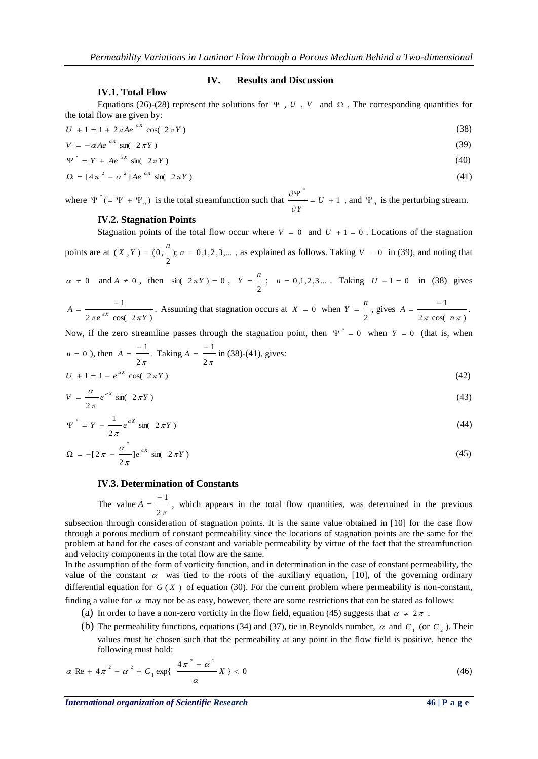#### **IV. Results and Discussion**

# **IV.1. Total Flow**

Equations (26)-(28) represent the solutions for  $\Psi$ , *U*, *V* and  $\Omega$ . The corresponding quantities for the total flow are given by:

$$
U + 1 = 1 + 2\pi A e^{-\alpha X} \cos(2\pi Y) \tag{38}
$$

$$
V = -\alpha A e^{-\alpha X} \sin(2\pi Y) \tag{39}
$$
  
\n
$$
\Psi^* = Y + A e^{-\alpha X} \sin(2\pi Y) \tag{40}
$$

$$
\Omega = [4\pi^2 - \alpha^2]Ae^{-\alpha X}\sin(2\pi Y) \tag{41}
$$

where  $\Psi^*$  (=  $\Psi + \Psi_0$ )  $\Psi^*$  (=  $\Psi$  +  $\Psi_0$ ) is the total streamfunction such that  $\frac{U_1}{U_1} = U + 1$ \*  $= U +$  $\partial$  $\frac{\partial \Psi}{\partial U} = U$ *Y* , and  $\Psi_0$  is the perturbing stream.

#### **IV.2. Stagnation Points**

Stagnation points of the total flow occur where  $V = 0$  and  $U + 1 = 0$ . Locations of the stagnation points are at  $(X, Y) = (0, -); n = 0, 1, 2, 3, ...$ 2  $(X, Y) = (0, \frac{n}{n})$ ;  $n = 0, 1, 2, 3, ...$ , as explained as follows. Taking  $V = 0$  in (39), and noting that

 $\alpha \neq 0$  and  $A \neq 0$ , then sin(  $2 \pi Y$ ) = 0, 2  $Y = \frac{n}{n}$ ;  $n = 0, 1, 2, 3...$  Taking  $U + 1 = 0$  in (38) gives

$$
A = \frac{-1}{2\pi e^{\alpha X} \cos(2\pi Y)}.
$$
 Assuming that stagnation occurs at  $X = 0$  when  $Y = \frac{n}{2}$ , gives  $A = \frac{-1}{2\pi \cos(n\pi)}$ .

Now, if the zero streamline passes through the stagnation point, then  $\Psi^* = 0$  when  $Y = 0$  (that is, when

$$
n = 0 \text{ ), then } A = \frac{-1}{2\pi}. \text{ Taking } A = \frac{-1}{2\pi} \text{ in (38)-(41), gives:}
$$
\n
$$
U + 1 = 1 - e^{\alpha X} \cos(2\pi Y) \tag{42}
$$

$$
V = \frac{\alpha}{2\pi} e^{\alpha X} \sin(2\pi Y) \tag{43}
$$

$$
\Psi^* = Y - \frac{1}{2\pi} e^{\alpha X} \sin(2\pi Y) \tag{44}
$$

$$
\Omega = -[2\pi - \frac{\alpha^2}{2\pi}]e^{\alpha X} \sin(2\pi Y) \tag{45}
$$

#### **IV.3. Determination of Constants**

The value  $2\pi$  $A = \frac{-1}{\sqrt{a}}$ , which appears in the total flow quantities, was determined in the previous

subsection through consideration of stagnation points. It is the same value obtained in [10] for the case flow through a porous medium of constant permeability since the locations of stagnation points are the same for the problem at hand for the cases of constant and variable permeability by virtue of the fact that the streamfunction and velocity components in the total flow are the same.

In the assumption of the form of vorticity function, and in determination in the case of constant permeability, the value of the constant  $\alpha$  was tied to the roots of the auxiliary equation, [10], of the governing ordinary differential equation for  $G(X)$  of equation (30). For the current problem where permeability is non-constant, finding a value for  $\alpha$  may not be as easy, however, there are some restrictions that can be stated as follows:

- (a) In order to have a non-zero vorticity in the flow field, equation (45) suggests that  $\alpha \neq 2\pi$ .
- (b) The permeability functions, equations (34) and (37), tie in Reynolds number,  $\alpha$  and  $C_1$  (or  $C_2$ ). Their values must be chosen such that the permeability at any point in the flow field is positive, hence the following must hold:

$$
\alpha \text{ Re} + 4\pi^2 - \alpha^2 + C_1 \exp\left\{\frac{4\pi^2 - \alpha^2}{\alpha} X\right\} < 0 \tag{46}
$$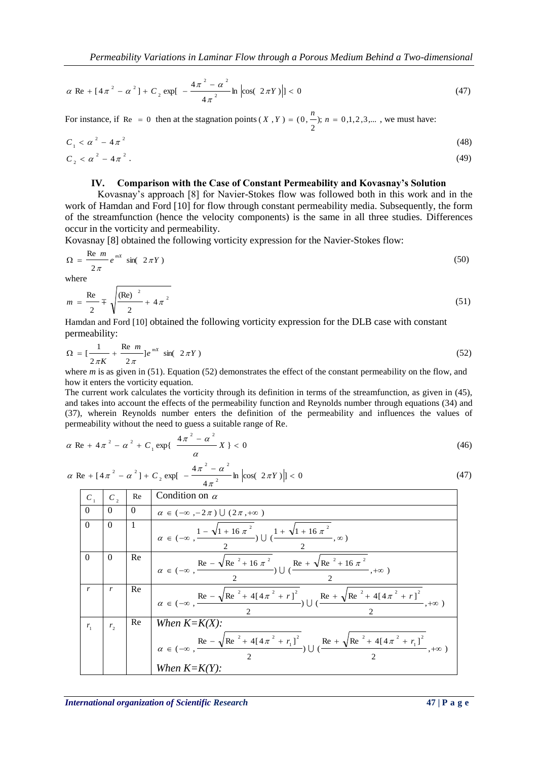$$
\alpha \text{ Re} + [4\pi^2 - \alpha^2] + C_2 \exp\left[-\frac{4\pi^2 - \alpha^2}{4\pi^2} \ln \left| \cos(2\pi Y) \right| \right] < 0 \tag{47}
$$

For instance, if Re = 0 then at the stagnation points  $(X, Y) = (0, -); n = 0, 1, 2, 3, ...$ 2  $(X, Y) = (0, \frac{n}{2})$ ;  $n = 0, 1, 2, 3, ...$ , we must have:

$$
C_1 < \alpha^2 - 4\pi^2
$$
 (48)  
\n
$$
C_2 < \alpha^2 - 4\pi^2
$$
 (49)

#### **IV. Comparison with the Case of Constant Permeability and Kovasnay's Solution**

Kovasnay's approach [8] for Navier-Stokes flow was followed both in this work and in the work of Hamdan and Ford [10] for flow through constant permeability media. Subsequently, the form of the streamfunction (hence the velocity components) is the same in all three studies. Differences occur in the vorticity and permeability.

Kovasnay [8] obtained the following vorticity expression for the Navier-Stokes flow:

$$
\Omega = \frac{\text{Re } m}{2\pi} e^{mx} \sin(2\pi Y) \tag{50}
$$

where

$$
m = \frac{\text{Re}}{2} \mp \sqrt{\frac{(\text{Re})^2}{2} + 4\pi^2}
$$
 (51)

Hamdan and Ford [10] obtained the following vorticity expression for the DLB case with constant permeability:

$$
\Omega = \left[\frac{1}{2\pi K} + \frac{\text{Re } m}{2\pi}\right]e^{mx} \sin(2\pi Y) \tag{52}
$$

where *m* is as given in (51). Equation (52) demonstrates the effect of the constant permeability on the flow, and how it enters the vorticity equation.

The current work calculates the vorticity through its definition in terms of the streamfunction, as given in (45), and takes into account the effects of the permeability function and Reynolds number through equations (34) and (37), wherein Reynolds number enters the definition of the permeability and influences the values of permeability without the need to guess a suitable range of Re.

$$
\alpha \text{ Re} + 4\pi^2 - \alpha^2 + C_1 \exp\{\frac{4\pi^2 - \alpha^2}{\alpha}X\} < 0 \tag{46}
$$

$$
\alpha \text{ Re} + [4\pi^2 - \alpha^2] + C_2 \exp[-\frac{4\pi^2 - \alpha^2}{4\pi^2} \ln \left| \cos(-2\pi Y) \right|] < 0 \tag{47}
$$

| $C_{1}$  | C,             | Re       | Condition on $\alpha$                                                                                                                                                                  |
|----------|----------------|----------|----------------------------------------------------------------------------------------------------------------------------------------------------------------------------------------|
| $\Omega$ | $\Omega$       | $\Omega$ | $\alpha \in (-\infty, -2\pi) \cup (2\pi, +\infty)$                                                                                                                                     |
| $\Omega$ | $\Omega$       |          | $\alpha \in (-\infty, \frac{1-\sqrt{1+16\pi^2}}{1-\sqrt{1+16\pi^2}}, \infty)$                                                                                                          |
| $\Omega$ | $\Omega$       | Re       | $\alpha \in (-\infty, \frac{\text{Re} - \sqrt{\text{Re}^2 + 16 \pi^2}}{\text{Im}^2}) \cup (\frac{\text{Re} + \sqrt{\text{Re}^2 + 16 \pi^2}}{\text{Im}^2}, +\infty)$                    |
| r        | r              | Re       | $\alpha \in (-\infty, \frac{\text{Re} - \sqrt{\text{Re}^2 + 4[4\pi^2 + r]^2}}{r}) \cup (\frac{\text{Re} + \sqrt{\text{Re}^2 + 4[4\pi^2 + r]^2}}{r})$                                   |
| $r_{1}$  | r <sub>2</sub> | Re       | When $K = K(X)$ :<br>$\alpha \in (-\infty, \frac{\text{Re} - \sqrt{\text{Re}^2 + 4[4\pi^2 + r_1]^2}}{2}) \cup (\frac{\text{Re} + \sqrt{\text{Re}^2 + 4[4\pi^2 + r_1]^2}}{2}, +\infty)$ |
|          |                |          | When $K = K(Y)$ :                                                                                                                                                                      |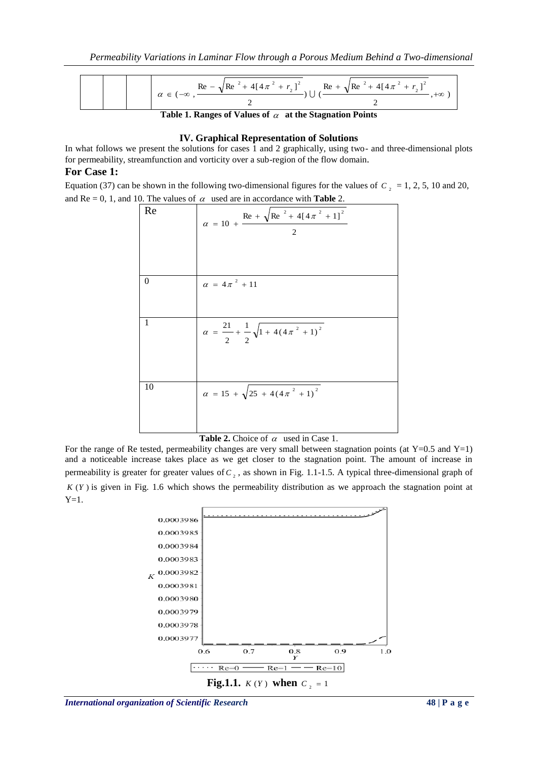$$
\alpha \in (-\infty, \frac{\text{Re } -\sqrt{\text{Re }^2 + 4[4\pi^2 + r_2]^2}}{2}) \cup (\frac{\text{Re } +\sqrt{\text{Re }^2 + 4[4\pi^2 + r_2]^2}}{2}, +\infty)
$$

Table 1. Ranges of Values of  $\alpha$  at the Stagnation Points

#### **IV. Graphical Representation of Solutions**

In what follows we present the solutions for cases 1 and 2 graphically, using two- and three-dimensional plots for permeability, streamfunction and vorticity over a sub-region of the flow domain.

# **For Case 1:**

Equation (37) can be shown in the following two-dimensional figures for the values of  $C_2 = 1, 2, 5, 10$  and 20, and Re = 0, 1, and 10. The values of  $\alpha$  used are in accordance with **Table** 2.

| Re             | $\alpha = 10 + \frac{\text{Re} + \sqrt{\text{Re}^2 + 4[4\pi^2 + 1]^2}}{4}$<br>$\mathfrak{D}$ |
|----------------|----------------------------------------------------------------------------------------------|
| $\overline{0}$ | $\alpha = 4\pi^2 + 11$                                                                       |
| 1              | $\alpha = \frac{21}{2} + \frac{1}{2}\sqrt{1 + 4(4\pi^2 + 1)^2}$                              |
| 10             | $\alpha = 15 + \sqrt{25 + 4(4\pi^2 + 1)^2}$                                                  |



For the range of Re tested, permeability changes are very small between stagnation points (at  $Y=0.5$  and  $Y=1$ ) and a noticeable increase takes place as we get closer to the stagnation point. The amount of increase in permeability is greater for greater values of  $C_2$ , as shown in Fig. 1.1-1.5. A typical three-dimensional graph of *K* (*Y* ) is given in Fig. 1.6 which shows the permeability distribution as we approach the stagnation point at  $Y=1$ .

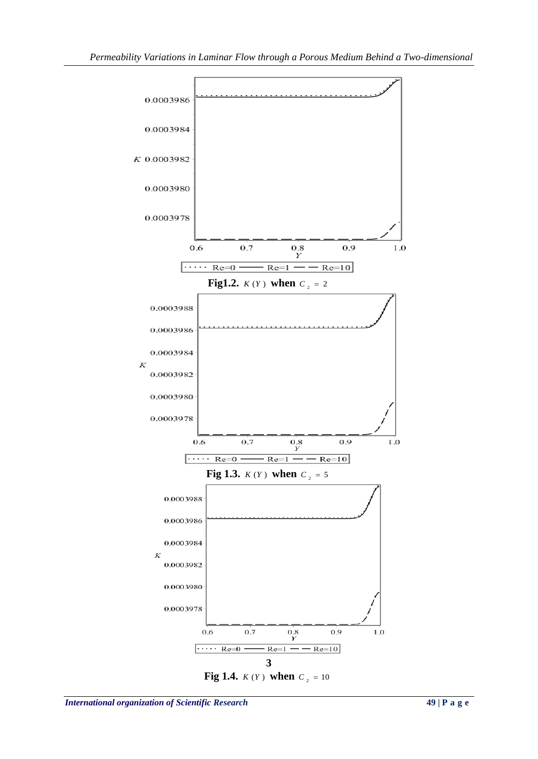

**Fig 1.4.**  $K(Y)$  when  $C_2 = 10$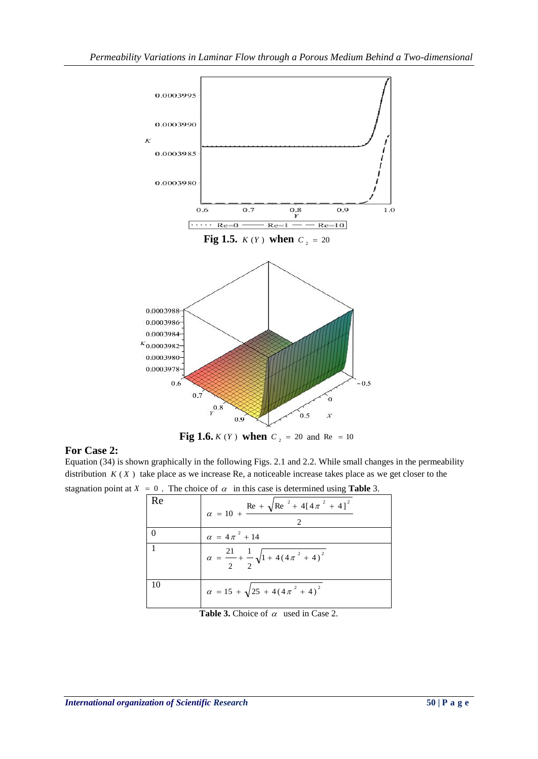

**Fig 1.6.**  $K(Y)$  when  $C_2 = 20$  and  $Re = 10$ 

# **For Case 2:**

Equation (34) is shown graphically in the following Figs. 2.1 and 2.2. While small changes in the permeability distribution  $K(X)$  take place as we increase Re, a noticeable increase takes place as we get closer to the stagnation point at  $X = 0$ . The choice of  $\alpha$  in this case is determined using **Table** 3.

| Re | $\alpha = 10 + \frac{\text{Re} + \sqrt{\text{Re}^2 + 4[4\pi^2 + 4]^2}}{4}$ |
|----|----------------------------------------------------------------------------|
|    | $\alpha = 4\pi^2 + 14$                                                     |
|    | $\alpha = \frac{21}{2} + \frac{1}{2}\sqrt{1 + 4(4\pi^2 + 4)^2}$            |
| 10 | $\alpha = 15 + \sqrt{25 + 4(4\pi^2 + 4)^2}$                                |

| <b>Table 3.</b> Choice of $\alpha$ used in Case 2. |  |  |
|----------------------------------------------------|--|--|
|                                                    |  |  |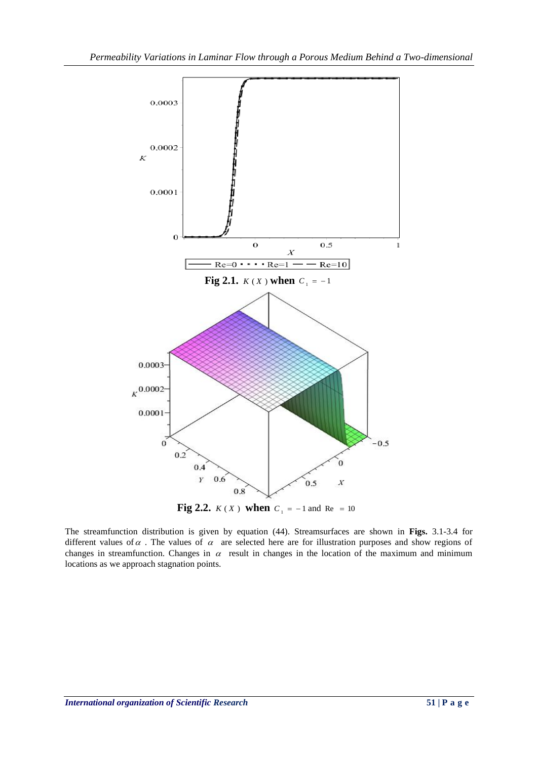

The streamfunction distribution is given by equation (44). Streamsurfaces are shown in **Figs.** 3.1-3.4 for different values of  $\alpha$ . The values of  $\alpha$  are selected here are for illustration purposes and show regions of changes in streamfunction. Changes in  $\alpha$  result in changes in the location of the maximum and minimum locations as we approach stagnation points.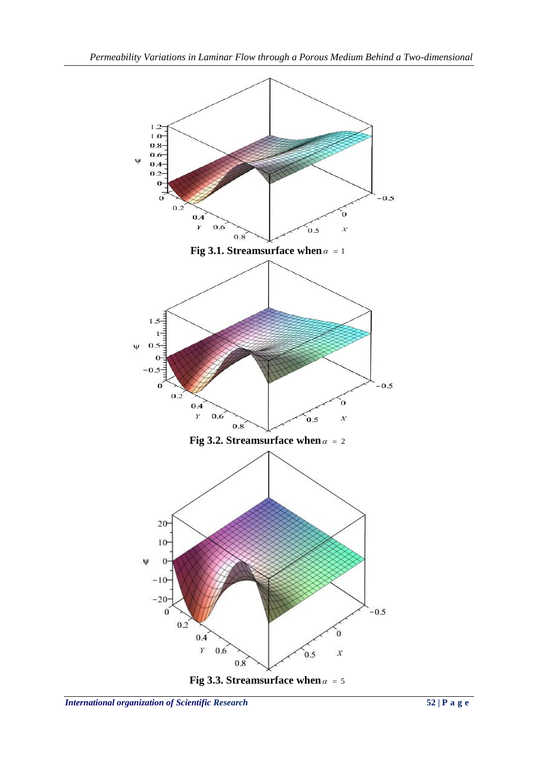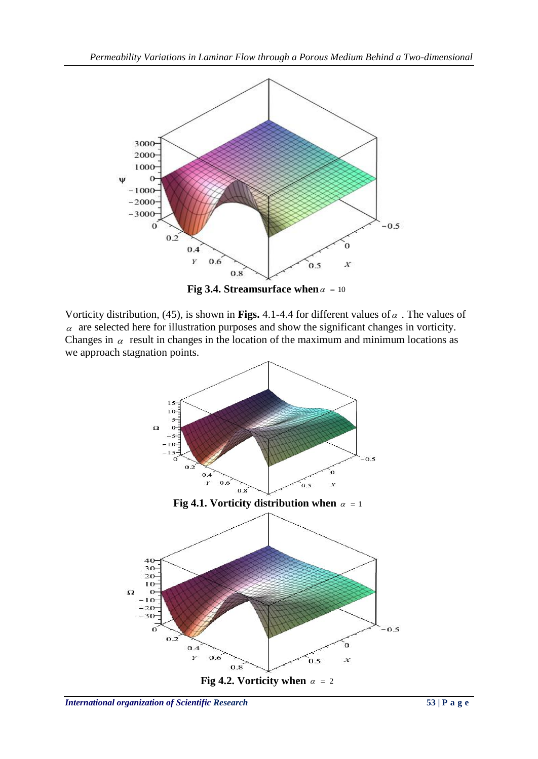

Vorticity distribution, (45), is shown in **Figs.** 4.1-4.4 for different values of  $\alpha$ . The values of  $\alpha$  are selected here for illustration purposes and show the significant changes in vorticity. Changes in  $\alpha$  result in changes in the location of the maximum and minimum locations as we approach stagnation points.

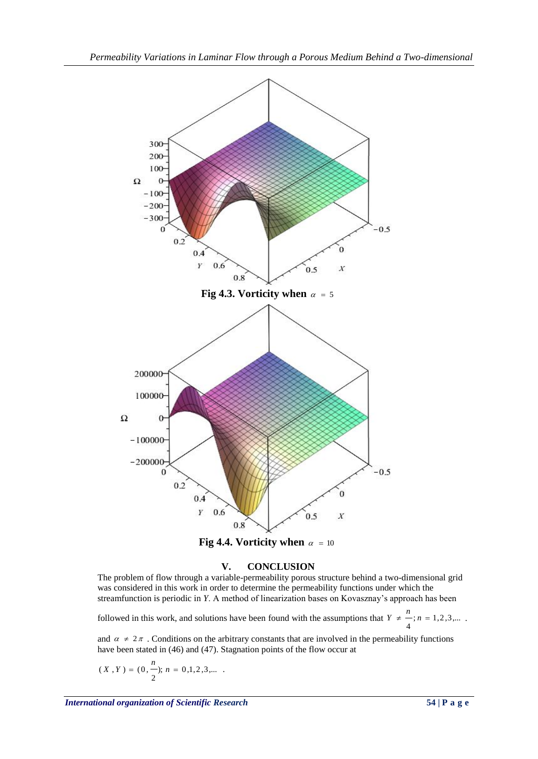

**Fig 4.4.** Vorticity when  $\alpha = 10$ 

### **V. CONCLUSION**

The problem of flow through a variable-permeability porous structure behind a two-dimensional grid was considered in this work in order to determine the permeability functions under which the streamfunction is periodic in *Y*. A method of linearization bases on Kovasznay's approach has been

followed in this work, and solutions have been found with the assumptions that  $Y \neq -1, 2, 3, ...$ 4  $Y \neq \frac{n}{n}$ ;  $n = 1, 2, 3, ...$ 

and  $\alpha \neq 2\pi$ . Conditions on the arbitrary constants that are involved in the permeability functions have been stated in (46) and (47). Stagnation points of the flow occur at

$$
(\,X\,\,, Y\,) = (0\,frac{n}{2});\, n\,=\,0\,,\,1\,,2\,,3\,,\ldots\,.
$$